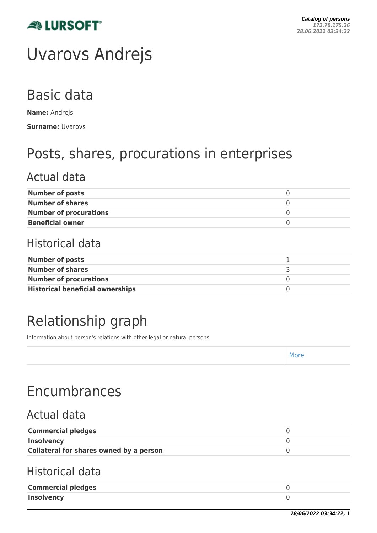

# Uvarovs Andrejs

## Basic data

**Name:** Andrejs **Surname:** Uvarovs

## Posts, shares, procurations in enterprises

### Actual data

| <b>Number of posts</b>        |  |
|-------------------------------|--|
| Number of shares              |  |
| <b>Number of procurations</b> |  |
| <b>Beneficial owner</b>       |  |

### Historical data

| Number of posts                         |  |
|-----------------------------------------|--|
| Number of shares                        |  |
| <b>Number of procurations</b>           |  |
| <b>Historical beneficial ownerships</b> |  |

## Relationship graph

Information about person's relations with other legal or natural persons.

| <b>IVILLE</b> |  |
|---------------|--|
|---------------|--|

## Encumbrances

### Actual data

| <b>Commercial pledges</b>               |  |
|-----------------------------------------|--|
| <b>Insolvency</b>                       |  |
| Collateral for shares owned by a person |  |

### Historical data

| <b>Commercial pledges</b> |  |
|---------------------------|--|
| Insolvency                |  |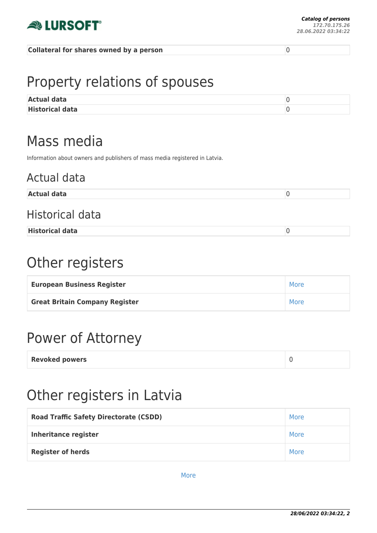

#### **Collateral for shares owned by a person** 0

## Property relations of spouses

| <b>Actual data</b>     |  |
|------------------------|--|
| <b>Historical data</b> |  |

### Mass media

Information about owners and publishers of mass media registered in Latvia.

### Actual data

| <b>Actua</b><br>--- |  |
|---------------------|--|
|                     |  |

### Historical data

**Historical data** 0

## Other registers

| <b>European Business Register</b>     | More |
|---------------------------------------|------|
| <b>Great Britain Company Register</b> | More |

## Power of Attorney

| <b>Revoked powers</b> |  |
|-----------------------|--|
|-----------------------|--|

### Other registers in Latvia

| <b>Road Traffic Safety Directorate (CSDD)</b> | More |
|-----------------------------------------------|------|
| <b>Inheritance register</b>                   | More |
| <b>Register of herds</b>                      | More |

[More](https://www.lursoft.lv/personas-profils/personas/uvarovs-andrejs-40efa9ac5ab67fc6ff68496e0e4d9092?l=en)